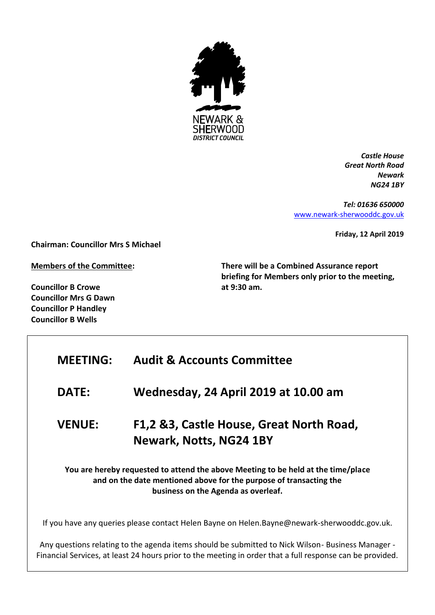

*Castle House Great North Road Newark NG24 1BY*

*Tel: 01636 650000* [www.newark-sherwooddc.gov.uk](http://www.newark-sherwooddc.gov.uk/)

**Friday, 12 April 2019**

**Chairman: Councillor Mrs S Michael**

**Members of the Committee:**

**Councillor B Crowe Councillor Mrs G Dawn Councillor P Handley Councillor B Wells**

**There will be a Combined Assurance report briefing for Members only prior to the meeting, at 9:30 am.** 

| <b>MEETING:</b>                                                                                                                                                                                | <b>Audit &amp; Accounts Committee</b>                                                       |  |
|------------------------------------------------------------------------------------------------------------------------------------------------------------------------------------------------|---------------------------------------------------------------------------------------------|--|
| <b>DATE:</b>                                                                                                                                                                                   | Wednesday, 24 April 2019 at 10.00 am                                                        |  |
| <b>VENUE:</b>                                                                                                                                                                                  | F1,2 &3, Castle House, Great North Road,<br><b>Newark, Notts, NG24 1BY</b>                  |  |
| You are hereby requested to attend the above Meeting to be held at the time/place<br>and on the date mentioned above for the purpose of transacting the<br>business on the Agenda as overleaf. |                                                                                             |  |
|                                                                                                                                                                                                | If you have any queries please contact Helen Bayne on Helen.Bayne@newark-sherwooddc.gov.uk. |  |

Any questions relating to the agenda items should be submitted to Nick Wilson- Business Manager - Financial Services, at least 24 hours prior to the meeting in order that a full response can be provided.